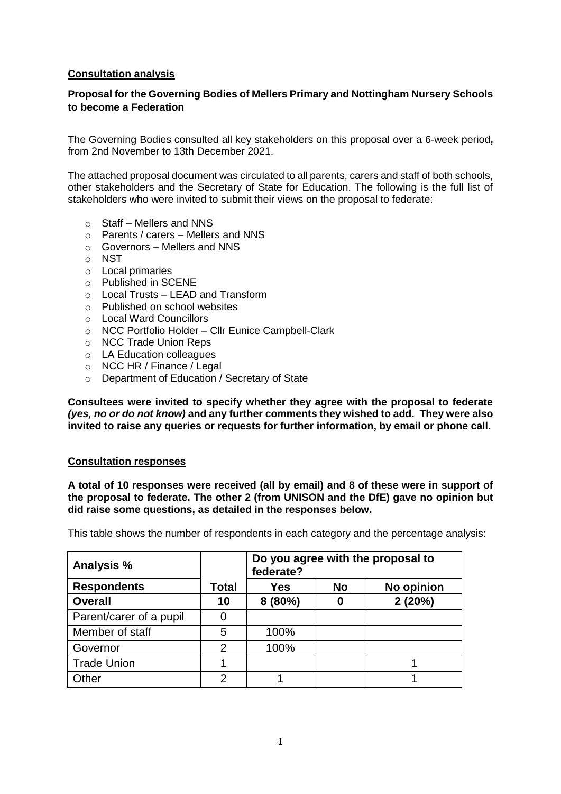# **Consultation analysis**

# **Proposal for the Governing Bodies of Mellers Primary and Nottingham Nursery Schools to become a Federation**

The Governing Bodies consulted all key stakeholders on this proposal over a 6-week period**,** from 2nd November to 13th December 2021.

The attached proposal document was circulated to all parents, carers and staff of both schools, other stakeholders and the Secretary of State for Education. The following is the full list of stakeholders who were invited to submit their views on the proposal to federate:

- $\circ$  Staff Mellers and NNS
- o Parents / carers Mellers and NNS
- o Governors Mellers and NNS
- o NST
- o Local primaries
- o Published in SCENE
- $\circ$  Local Trusts LEAD and Transform
- o Published on school websites
- o Local Ward Councillors
- o NCC Portfolio Holder Cllr Eunice Campbell-Clark
- o NCC Trade Union Reps
- o LA Education colleagues
- o NCC HR / Finance / Legal
- o Department of Education / Secretary of State

**Consultees were invited to specify whether they agree with the proposal to federate**  *(yes, no or do not know)* **and any further comments they wished to add. They were also invited to raise any queries or requests for further information, by email or phone call.**

#### **Consultation responses**

**A total of 10 responses were received (all by email) and 8 of these were in support of the proposal to federate. The other 2 (from UNISON and the DfE) gave no opinion but did raise some questions, as detailed in the responses below.**

This table shows the number of respondents in each category and the percentage analysis:

| Analysis %              |               | Do you agree with the proposal to<br>federate? |           |            |
|-------------------------|---------------|------------------------------------------------|-----------|------------|
| <b>Respondents</b>      | Total         | Yes                                            | <b>No</b> | No opinion |
| <b>Overall</b>          | 10            | 8(80%)                                         | 0         | 2(20%)     |
| Parent/carer of a pupil |               |                                                |           |            |
| Member of staff         | 5             | 100%                                           |           |            |
| Governor                | $\mathcal{P}$ | 100%                                           |           |            |
| <b>Trade Union</b>      |               |                                                |           |            |
| Other                   | 2             |                                                |           |            |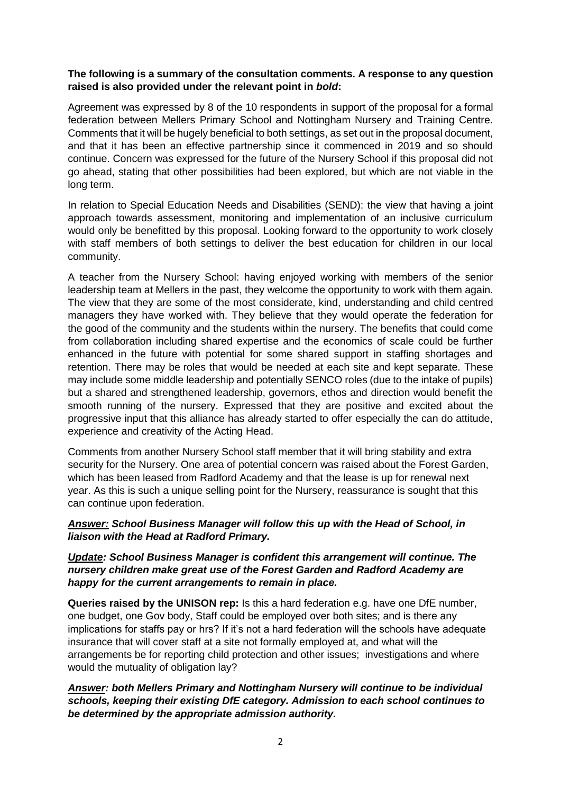### **The following is a summary of the consultation comments. A response to any question raised is also provided under the relevant point in** *bold***:**

Agreement was expressed by 8 of the 10 respondents in support of the proposal for a formal federation between Mellers Primary School and Nottingham Nursery and Training Centre. Comments that it will be hugely beneficial to both settings, as set out in the proposal document, and that it has been an effective partnership since it commenced in 2019 and so should continue. Concern was expressed for the future of the Nursery School if this proposal did not go ahead, stating that other possibilities had been explored, but which are not viable in the long term.

In relation to Special Education Needs and Disabilities (SEND): the view that having a joint approach towards assessment, monitoring and implementation of an inclusive curriculum would only be benefitted by this proposal. Looking forward to the opportunity to work closely with staff members of both settings to deliver the best education for children in our local community.

A teacher from the Nursery School: having enjoyed working with members of the senior leadership team at Mellers in the past, they welcome the opportunity to work with them again. The view that they are some of the most considerate, kind, understanding and child centred managers they have worked with. They believe that they would operate the federation for the good of the community and the students within the nursery. The benefits that could come from collaboration including shared expertise and the economics of scale could be further enhanced in the future with potential for some shared support in staffing shortages and retention. There may be roles that would be needed at each site and kept separate. These may include some middle leadership and potentially SENCO roles (due to the intake of pupils) but a shared and strengthened leadership, governors, ethos and direction would benefit the smooth running of the nursery. Expressed that they are positive and excited about the progressive input that this alliance has already started to offer especially the can do attitude, experience and creativity of the Acting Head.

Comments from another Nursery School staff member that it will bring stability and extra security for the Nursery. One area of potential concern was raised about the Forest Garden, which has been leased from Radford Academy and that the lease is up for renewal next year. As this is such a unique selling point for the Nursery, reassurance is sought that this can continue upon federation.

### *Answer: School Business Manager will follow this up with the Head of School, in liaison with the Head at Radford Primary.*

# *Update: School Business Manager is confident this arrangement will continue. The nursery children make great use of the Forest Garden and Radford Academy are happy for the current arrangements to remain in place.*

**Queries raised by the UNISON rep:** Is this a hard federation e.g. have one DfE number, one budget, one Gov body, Staff could be employed over both sites; and is there any implications for staffs pay or hrs? If it's not a hard federation will the schools have adequate insurance that will cover staff at a site not formally employed at, and what will the arrangements be for reporting child protection and other issues; investigations and where would the mutuality of obligation lay?

# *Answer: both Mellers Primary and Nottingham Nursery will continue to be individual schools, keeping their existing DfE category. Admission to each school continues to be determined by the appropriate admission authority.*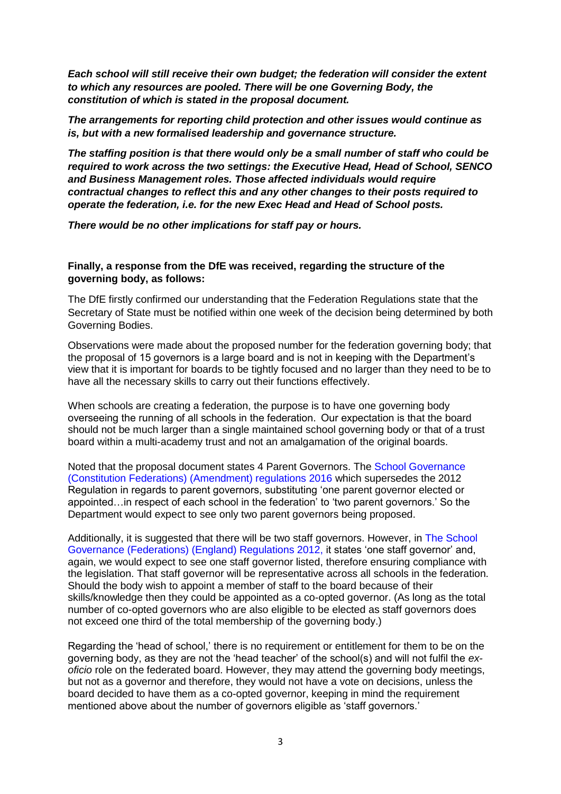*Each school will still receive their own budget; the federation will consider the extent to which any resources are pooled. There will be one Governing Body, the constitution of which is stated in the proposal document.*

*The arrangements for reporting child protection and other issues would continue as is, but with a new formalised leadership and governance structure.* 

*The staffing position is that there would only be a small number of staff who could be required to work across the two settings: the Executive Head, Head of School, SENCO and Business Management roles. Those affected individuals would require contractual changes to reflect this and any other changes to their posts required to operate the federation, i.e. for the new Exec Head and Head of School posts.*

*There would be no other implications for staff pay or hours.*

# **Finally, a response from the DfE was received, regarding the structure of the governing body, as follows:**

The DfE firstly confirmed our understanding that the Federation Regulations state that the Secretary of State must be notified within one week of the decision being determined by both Governing Bodies.

Observations were made about the proposed number for the federation governing body; that the proposal of 15 governors is a large board and is not in keeping with the Department's view that it is important for boards to be tightly focused and no larger than they need to be to have all the necessary skills to carry out their functions effectively.

When schools are creating a federation, the purpose is to have one governing body overseeing the running of all schools in the federation.  Our expectation is that the board should not be much larger than a single maintained school governing body or that of a trust board within a multi-academy trust and not an amalgamation of the original boards.

Noted that the proposal document states 4 Parent Governors. The [School Governance](https://www.legislation.gov.uk/uksi/2016/204/pdfs/uksi_20160204_en.pdf)  [\(Constitution Federations\) \(Amendment\) regulations 2016](https://www.legislation.gov.uk/uksi/2016/204/pdfs/uksi_20160204_en.pdf) which supersedes the 2012 Regulation in regards to parent governors, substituting 'one parent governor elected or appointed…in respect of each school in the federation' to 'two parent governors.' So the Department would expect to see only two parent governors being proposed.

Additionally, it is suggested that there will be two staff governors. However, in [The School](https://www.legislation.gov.uk/uksi/2012/1035/contents/made)  [Governance \(Federations\) \(England\) Regulations 2012,](https://www.legislation.gov.uk/uksi/2012/1035/contents/made) it states 'one staff governor' and, again, we would expect to see one staff governor listed, therefore ensuring compliance with the legislation. That staff governor will be representative across all schools in the federation. Should the body wish to appoint a member of staff to the board because of their skills/knowledge then they could be appointed as a co-opted governor. (As long as the total number of co-opted governors who are also eligible to be elected as staff governors does not exceed one third of the total membership of the governing body.)

Regarding the 'head of school,' there is no requirement or entitlement for them to be on the governing body, as they are not the 'head teacher' of the school(s) and will not fulfil the *exoficio* role on the federated board. However, they may attend the governing body meetings, but not as a governor and therefore, they would not have a vote on decisions, unless the board decided to have them as a co-opted governor, keeping in mind the requirement mentioned above about the number of governors eligible as 'staff governors.'